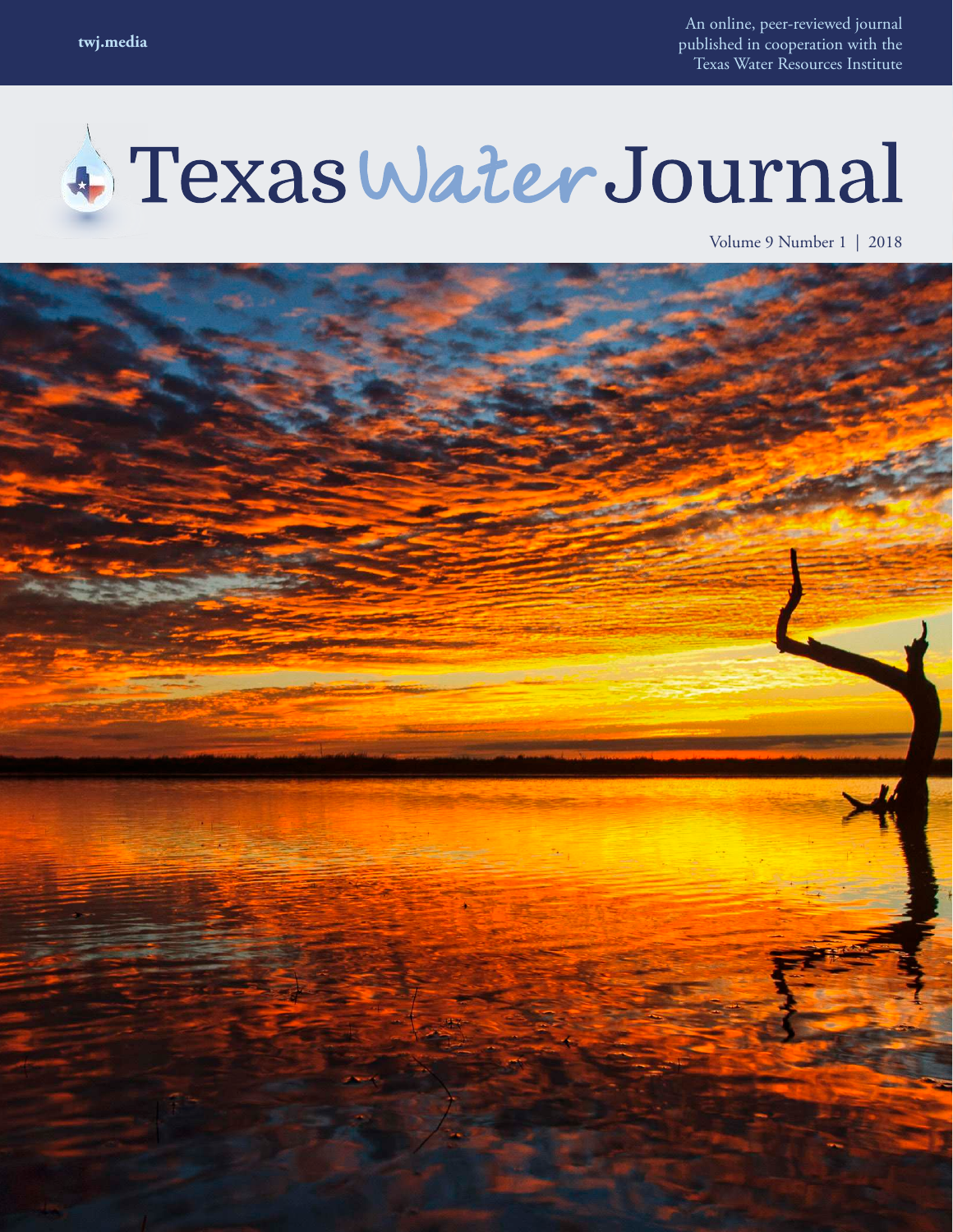An online, peer-reviewed journal published in cooperation with the Texas Water Resources Institute

# 4 Texas Water Journal

Volume 9 Number 1 | 2018

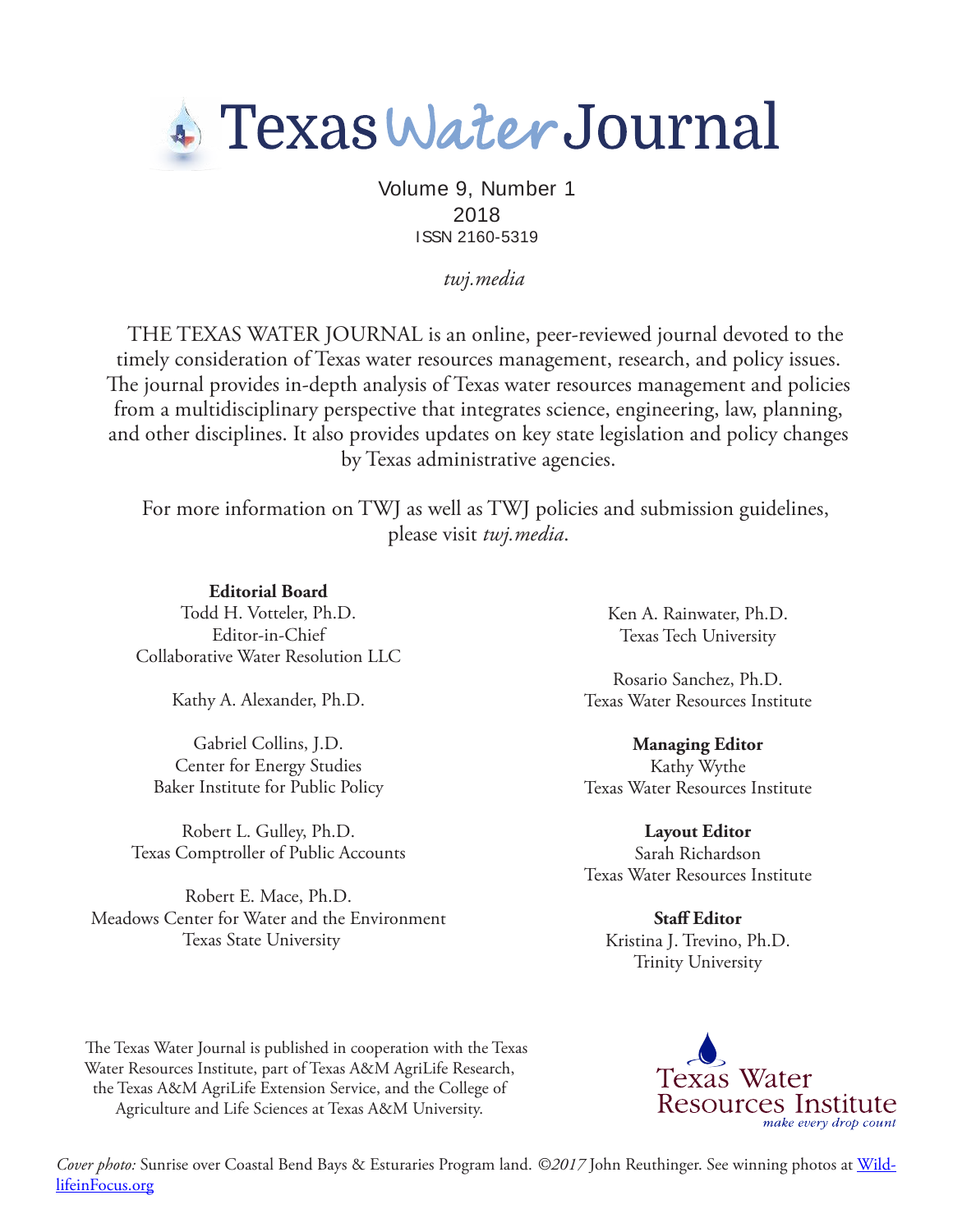

Volume 9, Number 1 2018 ISSN 2160-5319

*twj.media*

THE TEXAS WATER JOURNAL is an online, peer-reviewed journal devoted to the timely consideration of Texas water resources management, research, and policy issues. he journal provides in-depth analysis of Texas water resources management and policies from a multidisciplinary perspective that integrates science, engineering, law, planning, and other disciplines. It also provides updates on key state legislation and policy changes by Texas administrative agencies.

For more information on TWJ as well as TWJ policies and submission guidelines, please visit *twj.media*.

**Editorial Board** Todd H. Votteler, Ph.D. Editor-in-Chief Collaborative Water Resolution LLC

Kathy A. Alexander, Ph.D.

Gabriel Collins, J.D. Center for Energy Studies Baker Institute for Public Policy

Robert L. Gulley, Ph.D. Texas Comptroller of Public Accounts

Robert E. Mace, Ph.D. Meadows Center for Water and the Environment Texas State University

Ken A. Rainwater, Ph.D. Texas Tech University

Rosario Sanchez, Ph.D. Texas Water Resources Institute

**Managing Editor** Kathy Wythe Texas Water Resources Institute

**Layout Editor** Sarah Richardson Texas Water Resources Institute

**Staf Editor** Kristina J. Trevino, Ph.D. Trinity University

he Texas Water Journal is published in cooperation with the Texas Water Resources Institute, part of Texas A&M AgriLife Research, the Texas A&M AgriLife Extension Service, and the College of Agriculture and Life Sciences at Texas A&M University.



*Cover photo:* Sunrise over Coastal Bend Bays & Esturaries Program land. *©2017* John Reuthinger. See winning photos at WildlifeinFocus.org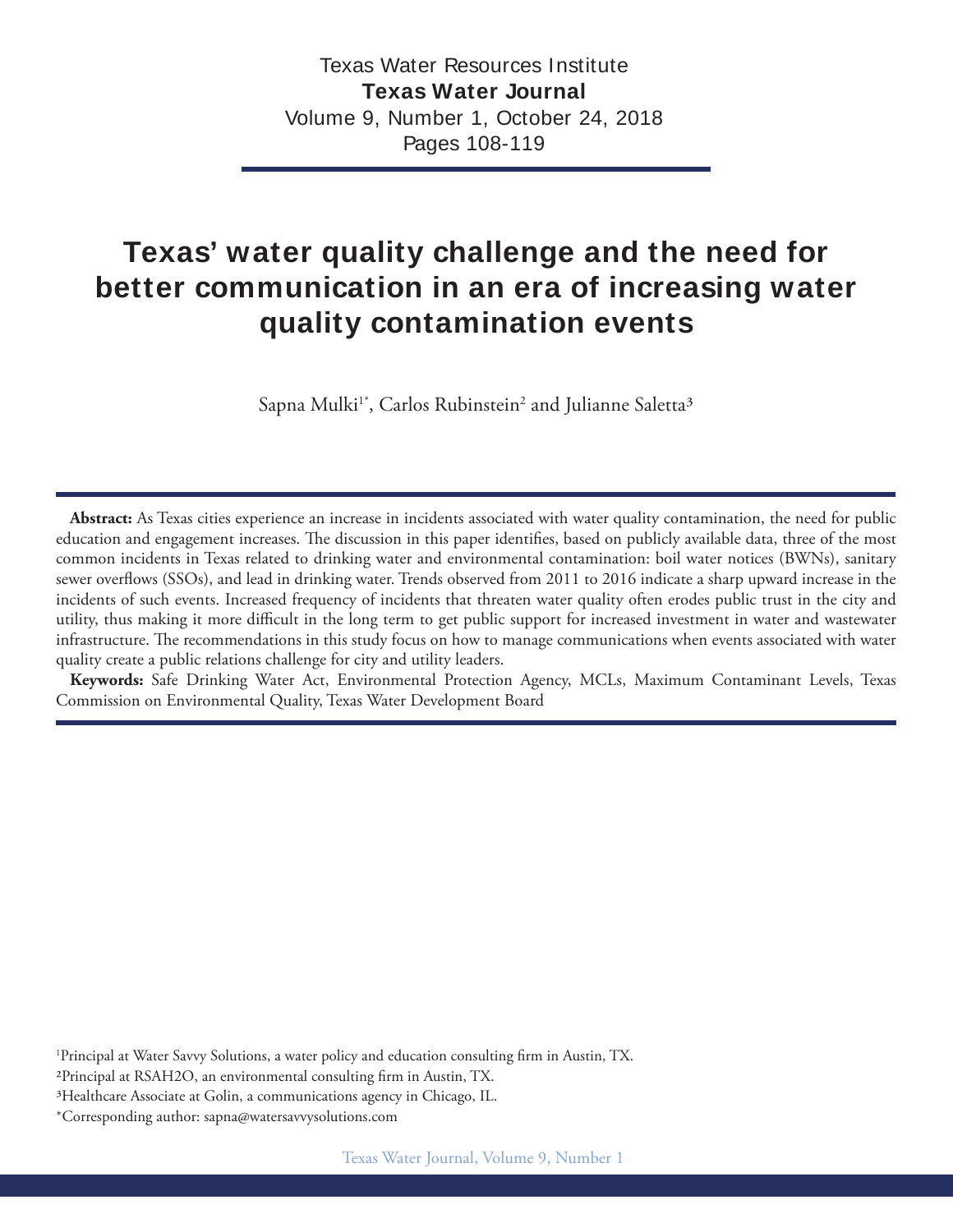# **Texas' water quality challenge and the need for better communication in an era of increasing water quality contamination events**

Sapna Mulki<sup>1\*</sup>, Carlos Rubinstein<sup>2</sup> and Julianne Saletta<sup>3</sup>

**Abstract:** As Texas cities experience an increase in incidents associated with water quality contamination, the need for public education and engagement increases. The discussion in this paper identifies, based on publicly available data, three of the most common incidents in Texas related to drinking water and environmental contamination: boil water notices (BWNs), sanitary sewer overlows (SSOs), and lead in drinking water. Trends observed from 2011 to 2016 indicate a sharp upward increase in the incidents of such events. Increased frequency of incidents that threaten water quality often erodes public trust in the city and utility, thus making it more difficult in the long term to get public support for increased investment in water and wastewater infrastructure. he recommendations in this study focus on how to manage communications when events associated with water quality create a public relations challenge for city and utility leaders.

**Keywords:** Safe Drinking Water Act, Environmental Protection Agency, MCLs, Maximum Contaminant Levels, Texas Commission on Environmental Quality, Texas Water Development Board

<sup>1</sup>Principal at Water Savvy Solutions, a water policy and education consulting firm in Austin, TX.

<sup>2</sup>Principal at RSAH2O, an environmental consulting firm in Austin, TX.

3Healthcare Associate at Golin, a communications agency in Chicago, IL.

\*Corresponding author: sapna@watersavvysolutions.com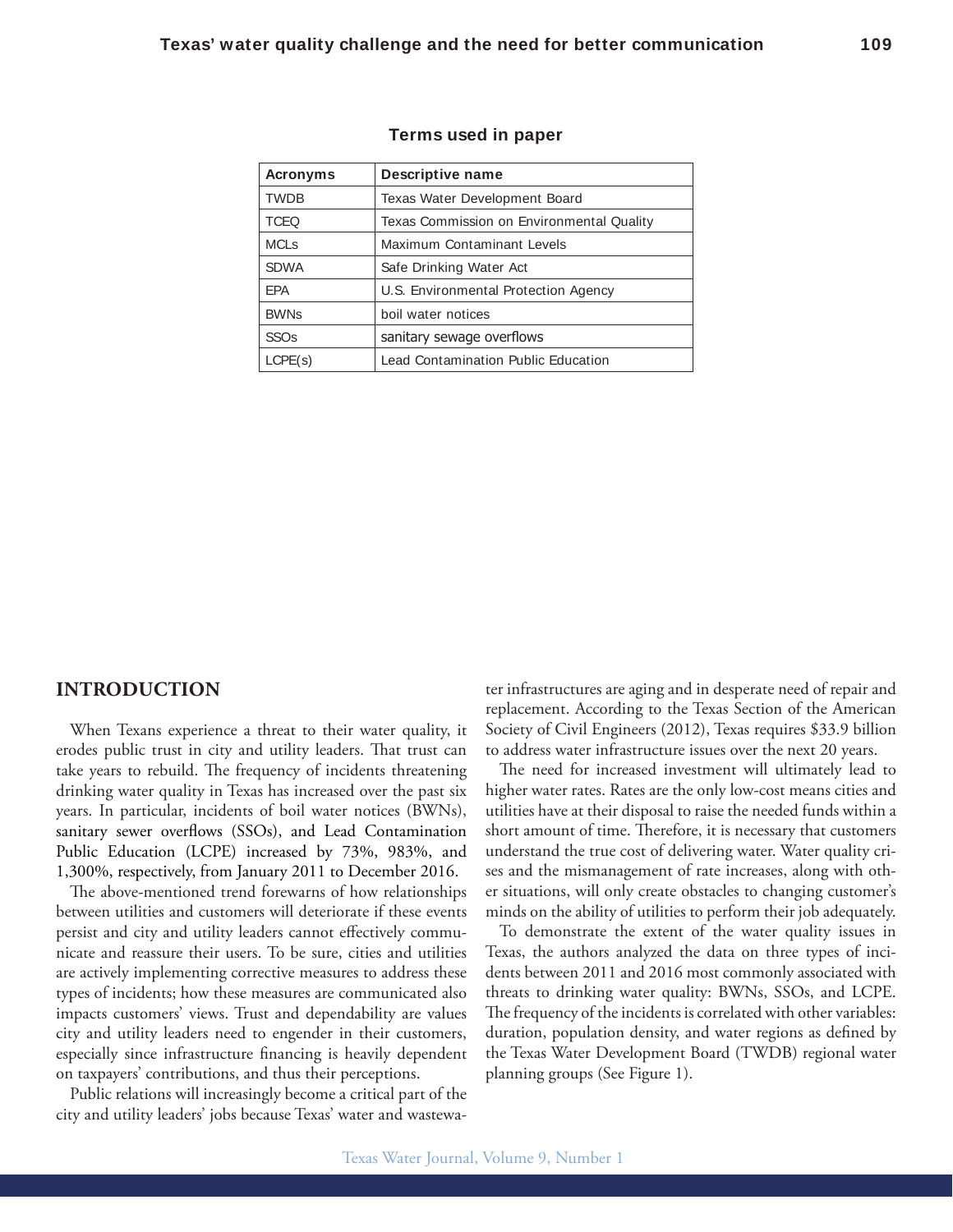| <b>Acronyms</b>        | Descriptive name                          |
|------------------------|-------------------------------------------|
| <b>TWDB</b>            | Texas Water Development Board             |
| <b>TCEQ</b>            | Texas Commission on Environmental Quality |
| <b>MCLs</b>            | Maximum Contaminant Levels                |
| <b>SDWA</b>            | Safe Drinking Water Act                   |
| <b>EPA</b>             | U.S. Environmental Protection Agency      |
| <b>BWNs</b>            | boil water notices                        |
| <b>SSO<sub>s</sub></b> | sanitary sewage overflows                 |
| LCPE(s)                | Lead Contamination Public Education       |

#### **Terms used in paper**

### **INTRODUCTION**

When Texans experience a threat to their water quality, it erodes public trust in city and utility leaders. That trust can take years to rebuild. The frequency of incidents threatening drinking water quality in Texas has increased over the past six years. In particular, incidents of boil water notices (BWNs), sanitary sewer overflows (SSOs), and Lead Contamination Public Education (LCPE) increased by 73%, 983%, and 1,300%, respectively, from January 2011 to December 2016.

The above-mentioned trend forewarns of how relationships between utilities and customers will deteriorate if these events persist and city and utility leaders cannot efectively communicate and reassure their users. To be sure, cities and utilities are actively implementing corrective measures to address these types of incidents; how these measures are communicated also impacts customers' views. Trust and dependability are values city and utility leaders need to engender in their customers, especially since infrastructure financing is heavily dependent on taxpayers' contributions, and thus their perceptions.

Public relations will increasingly become a critical part of the city and utility leaders' jobs because Texas' water and wastewater infrastructures are aging and in desperate need of repair and replacement. According to the Texas Section of the American Society of Civil Engineers (2012), Texas requires \$33.9 billion to address water infrastructure issues over the next 20 years.

he need for increased investment will ultimately lead to higher water rates. Rates are the only low-cost means cities and utilities have at their disposal to raise the needed funds within a short amount of time. Therefore, it is necessary that customers understand the true cost of delivering water. Water quality crises and the mismanagement of rate increases, along with other situations, will only create obstacles to changing customer's minds on the ability of utilities to perform their job adequately.

To demonstrate the extent of the water quality issues in Texas, the authors analyzed the data on three types of incidents between 2011 and 2016 most commonly associated with threats to drinking water quality: BWNs, SSOs, and LCPE. The frequency of the incidents is correlated with other variables: duration, population density, and water regions as defined by the Texas Water Development Board (TWDB) regional water planning groups (See Figure 1).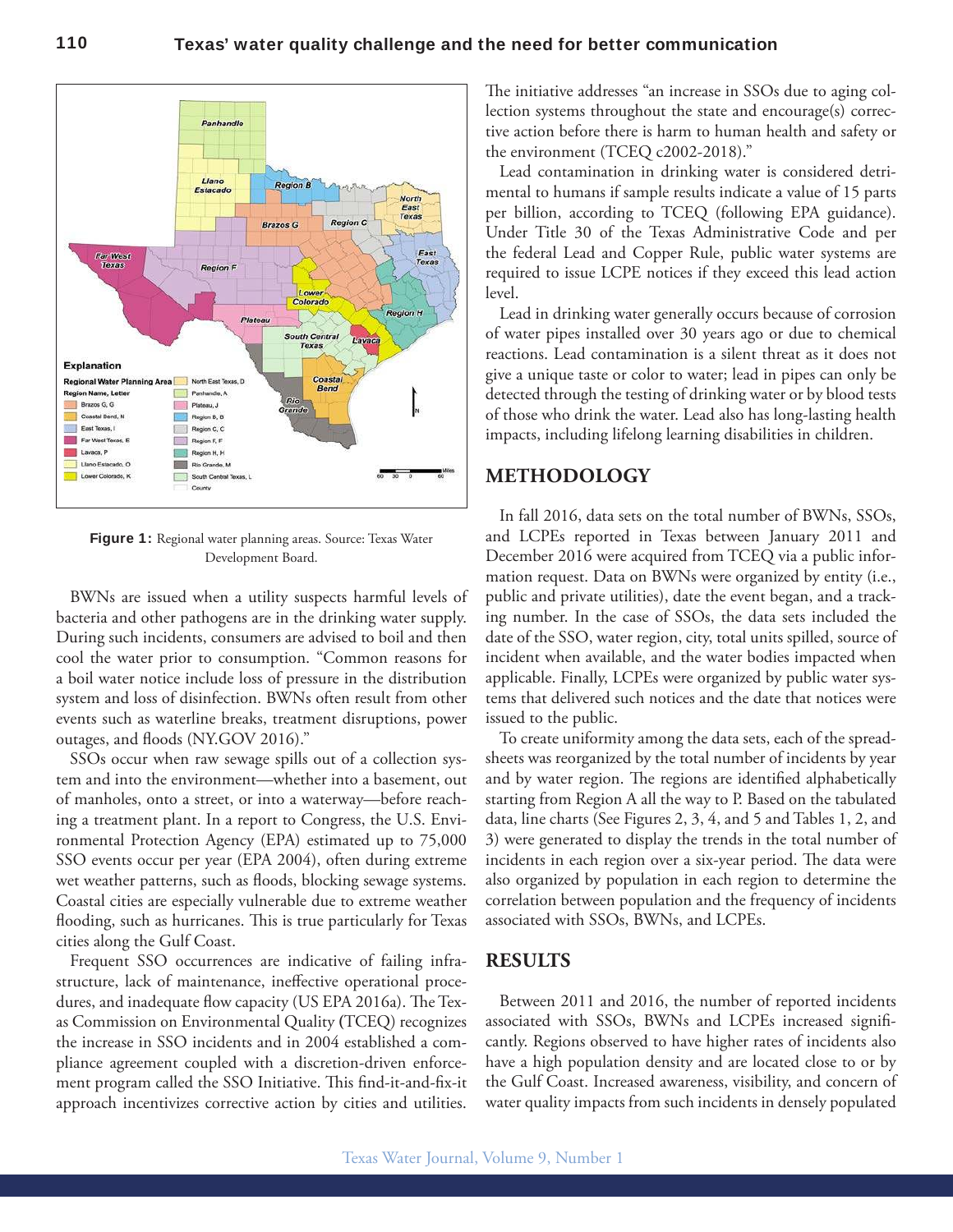

**Figure 1:** Regional water planning areas. Source: Texas Water Development Board.

BWNs are issued when a utility suspects harmful levels of bacteria and other pathogens are in the drinking water supply. During such incidents, consumers are advised to boil and then cool the water prior to consumption. "Common reasons for a boil water notice include loss of pressure in the distribution system and loss of disinfection. BWNs often result from other events such as waterline breaks, treatment disruptions, power outages, and floods (NY.GOV 2016)."

SSOs occur when raw sewage spills out of a collection system and into the environment—whether into a basement, out of manholes, onto a street, or into a waterway—before reaching a treatment plant. In a report to Congress, the U.S. Environmental Protection Agency (EPA) estimated up to 75,000 SSO events occur per year (EPA 2004), often during extreme wet weather patterns, such as floods, blocking sewage systems. Coastal cities are especially vulnerable due to extreme weather flooding, such as hurricanes. This is true particularly for Texas cities along the Gulf Coast.

Frequent SSO occurrences are indicative of failing infrastructure, lack of maintenance, inefective operational procedures, and inadequate flow capacity (US EPA 2016a). The Texas Commission on Environmental Quality **(**TCEQ) recognizes the increase in SSO incidents and in 2004 established a compliance agreement coupled with a discretion-driven enforcement program called the SSO Initiative. This find-it-and-fix-it approach incentivizes corrective action by cities and utilities.

he initiative addresses "an increase in SSOs due to aging collection systems throughout the state and encourage(s) corrective action before there is harm to human health and safety or the environment (TCEQ c2002-2018)."

Lead contamination in drinking water is considered detrimental to humans if sample results indicate a value of 15 parts per billion, according to TCEQ (following EPA guidance). Under Title 30 of the Texas Administrative Code and per the federal Lead and Copper Rule, public water systems are required to issue LCPE notices if they exceed this lead action level.

Lead in drinking water generally occurs because of corrosion of water pipes installed over 30 years ago or due to chemical reactions. Lead contamination is a silent threat as it does not give a unique taste or color to water; lead in pipes can only be detected through the testing of drinking water or by blood tests of those who drink the water. Lead also has long-lasting health impacts, including lifelong learning disabilities in children.

# **METHODOLOGY**

In fall 2016, data sets on the total number of BWNs, SSOs, and LCPEs reported in Texas between January 2011 and December 2016 were acquired from TCEQ via a public information request. Data on BWNs were organized by entity (i.e., public and private utilities), date the event began, and a tracking number. In the case of SSOs, the data sets included the date of the SSO, water region, city, total units spilled, source of incident when available, and the water bodies impacted when applicable. Finally, LCPEs were organized by public water systems that delivered such notices and the date that notices were issued to the public.

To create uniformity among the data sets, each of the spreadsheets was reorganized by the total number of incidents by year and by water region. The regions are identified alphabetically starting from Region A all the way to P. Based on the tabulated data, line charts (See Figures 2, 3, 4, and 5 and Tables 1, 2, and 3) were generated to display the trends in the total number of incidents in each region over a six-year period. The data were also organized by population in each region to determine the correlation between population and the frequency of incidents associated with SSOs, BWNs, and LCPEs.

# **RESULTS**

Between 2011 and 2016, the number of reported incidents associated with SSOs, BWNs and LCPEs increased significantly. Regions observed to have higher rates of incidents also have a high population density and are located close to or by the Gulf Coast. Increased awareness, visibility, and concern of water quality impacts from such incidents in densely populated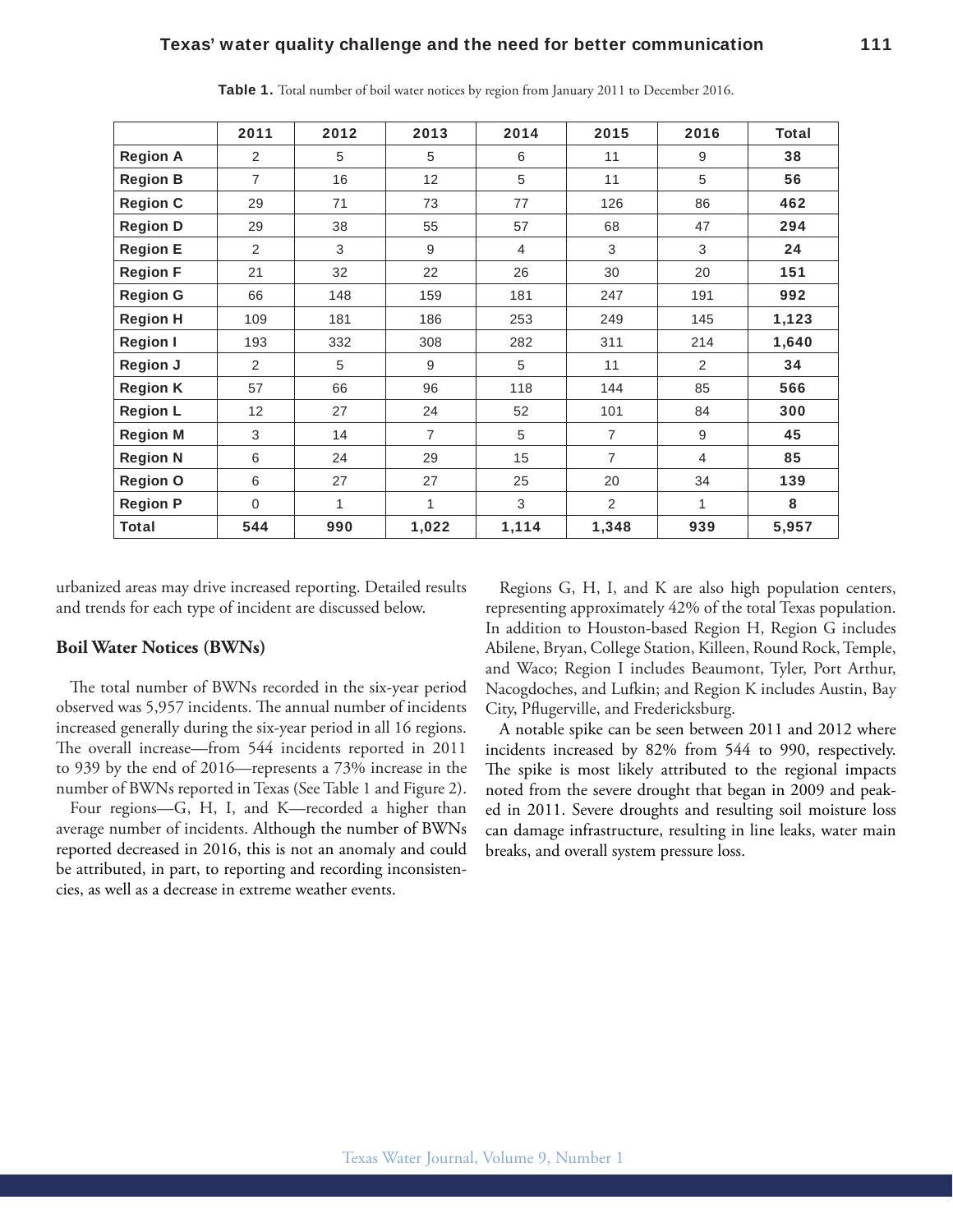|                 | 2011     | 2012 | 2013           | 2014  | 2015           | 2016 | <b>Total</b> |
|-----------------|----------|------|----------------|-------|----------------|------|--------------|
| <b>Region A</b> | 2        | 5    | 5              | 6     | 11             | 9    | 38           |
| <b>Region B</b> | 7        | 16   | 12             | 5     | 11             | 5    | 56           |
| <b>Region C</b> | 29       | 71   | 73             | 77    | 126            | 86   | 462          |
| <b>Region D</b> | 29       | 38   | 55             | 57    | 68             | 47   | 294          |
| <b>Region E</b> | 2        | 3    | 9              | 4     | 3              | 3    | 24           |
| <b>Region F</b> | 21       | 32   | 22             | 26    | 30             | 20   | 151          |
| <b>Region G</b> | 66       | 148  | 159            | 181   | 247            | 191  | 992          |
| <b>Region H</b> | 109      | 181  | 186            | 253   | 249            | 145  | 1,123        |
| <b>Region I</b> | 193      | 332  | 308            | 282   | 311            | 214  | 1,640        |
| <b>Region J</b> | 2        | 5    | 9              | 5     | 11             | 2    | 34           |
| <b>Region K</b> | 57       | 66   | 96             | 118   | 144            | 85   | 566          |
| <b>Region L</b> | 12       | 27   | 24             | 52    | 101            | 84   | 300          |
| <b>Region M</b> | 3        | 14   | $\overline{7}$ | 5     | $\overline{7}$ | 9    | 45           |
| <b>Region N</b> | 6        | 24   | 29             | 15    | $\overline{7}$ | 4    | 85           |
| <b>Region O</b> | 6        | 27   | 27             | 25    | 20             | 34   | 139          |
| <b>Region P</b> | $\Omega$ | 1    | 1              | 3     | $\overline{2}$ | 1    | 8            |
| Total           | 544      | 990  | 1,022          | 1,114 | 1,348          | 939  | 5,957        |

**Table 1.** Total number of boil water notices by region from January 2011 to December 2016.

urbanized areas may drive increased reporting. Detailed results and trends for each type of incident are discussed below.

#### **Boil Water Notices (BWNs)**

he total number of BWNs recorded in the six-year period observed was 5,957 incidents. The annual number of incidents increased generally during the six-year period in all 16 regions. he overall increase—from 544 incidents reported in 2011 to 939 by the end of 2016—represents a 73% increase in the number of BWNs reported in Texas (See Table 1 and Figure 2).

Four regions—G, H, I, and K—recorded a higher than average number of incidents. Although the number of BWNs reported decreased in 2016, this is not an anomaly and could be attributed, in part, to reporting and recording inconsistencies, as well as a decrease in extreme weather events.

Regions G, H, I, and K are also high population centers, representing approximately 42% of the total Texas population. In addition to Houston-based Region H, Region G includes Abilene, Bryan, College Station, Killeen, Round Rock, Temple, and Waco; Region I includes Beaumont, Tyler, Port Arthur, Nacogdoches, and Lufkin; and Region K includes Austin, Bay City, Plugerville, and Fredericksburg.

A notable spike can be seen between 2011 and 2012 where incidents increased by 82% from 544 to 990, respectively. The spike is most likely attributed to the regional impacts noted from the severe drought that began in 2009 and peaked in 2011. Severe droughts and resulting soil moisture loss can damage infrastructure, resulting in line leaks, water main breaks, and overall system pressure loss.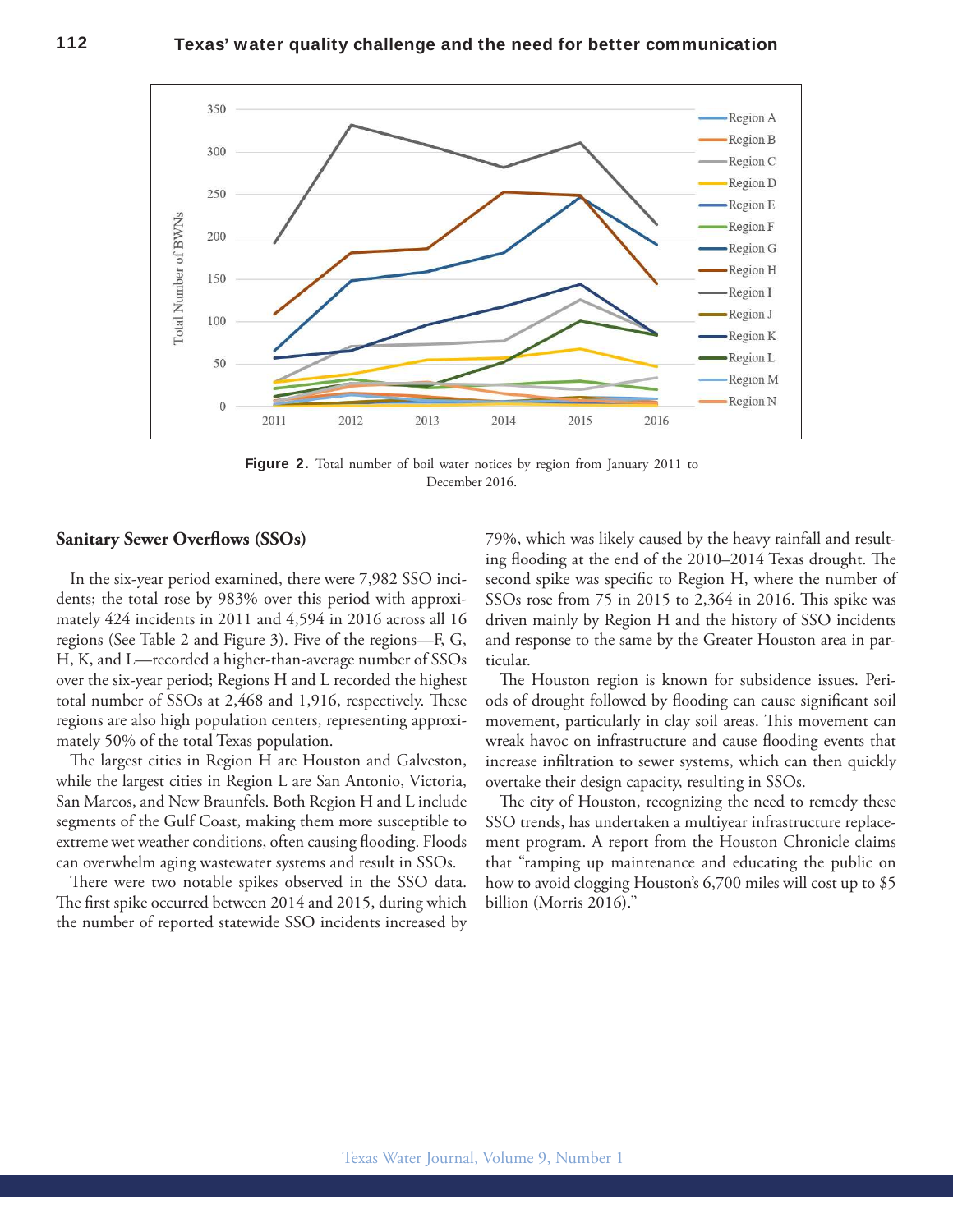

Figure 2. Total number of boil water notices by region from January 2011 to December 2016.

#### **Sanitary Sewer Overlows (SSOs)**

In the six-year period examined, there were 7,982 SSO incidents; the total rose by 983% over this period with approximately 424 incidents in 2011 and 4,594 in 2016 across all 16 regions (See Table 2 and Figure 3). Five of the regions—F, G, H, K, and L—recorded a higher-than-average number of SSOs over the six-year period; Regions H and L recorded the highest total number of SSOs at 2,468 and 1,916, respectively. These regions are also high population centers, representing approximately 50% of the total Texas population.

The largest cities in Region H are Houston and Galveston, while the largest cities in Region L are San Antonio, Victoria, San Marcos, and New Braunfels. Both Region H and L include segments of the Gulf Coast, making them more susceptible to extreme wet weather conditions, often causing flooding. Floods can overwhelm aging wastewater systems and result in SSOs.

here were two notable spikes observed in the SSO data. The first spike occurred between 2014 and 2015, during which the number of reported statewide SSO incidents increased by 79%, which was likely caused by the heavy rainfall and resulting flooding at the end of the 2010–2014 Texas drought. The second spike was specific to Region H, where the number of SSOs rose from 75 in 2015 to 2,364 in 2016. This spike was driven mainly by Region H and the history of SSO incidents and response to the same by the Greater Houston area in particular.

he Houston region is known for subsidence issues. Periods of drought followed by flooding can cause significant soil movement, particularly in clay soil areas. This movement can wreak havoc on infrastructure and cause flooding events that increase infiltration to sewer systems, which can then quickly overtake their design capacity, resulting in SSOs.

he city of Houston, recognizing the need to remedy these SSO trends, has undertaken a multiyear infrastructure replacement program. A report from the Houston Chronicle claims that "ramping up maintenance and educating the public on how to avoid clogging Houston's 6,700 miles will cost up to \$5 billion (Morris 2016)."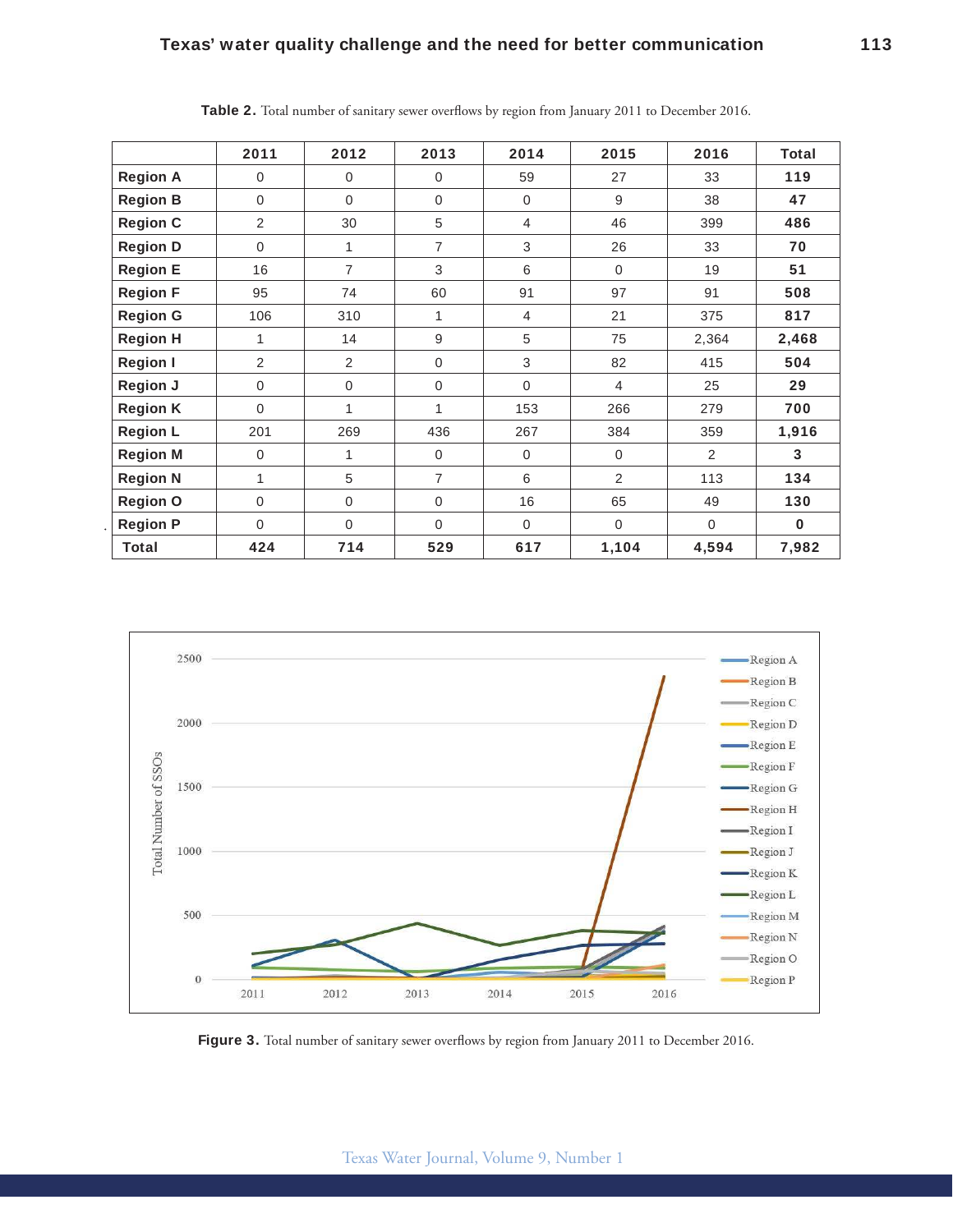|                 | 2011           | 2012             | 2013           | 2014           | 2015           | 2016           | Total    |
|-----------------|----------------|------------------|----------------|----------------|----------------|----------------|----------|
| <b>Region A</b> | $\Omega$       | $\mathbf 0$      | $\Omega$       | 59             | 27             | 33             | 119      |
| <b>Region B</b> | $\Omega$       | $\mathbf 0$      | $\Omega$       | $\mathbf 0$    | 9              | 38             | 47       |
| <b>Region C</b> | $\overline{2}$ | 30               | 5              | $\overline{4}$ | 46             | 399            | 486      |
| <b>Region D</b> | $\Omega$       | 1                | $\overline{7}$ | 3              | 26             | 33             | 70       |
| <b>Region E</b> | 16             | $\overline{7}$   | 3              | 6              | $\mathbf 0$    | 19             | 51       |
| <b>Region F</b> | 95             | 74               | 60             | 91             | 97             | 91             | 508      |
| <b>Region G</b> | 106            | 310              | 1              | $\overline{4}$ | 21             | 375            | 817      |
| <b>Region H</b> | 1              | 14               | 9              | 5              | 75             | 2,364          | 2,468    |
| <b>Region I</b> | 2              | 2                | $\mathbf 0$    | 3              | 82             | 415            | 504      |
| <b>Region J</b> | $\Omega$       | $\boldsymbol{0}$ | $\mathbf 0$    | $\Omega$       | $\overline{4}$ | 25             | 29       |
| <b>Region K</b> | $\Omega$       | 1                | 1              | 153            | 266            | 279            | 700      |
| <b>Region L</b> | 201            | 269              | 436            | 267            | 384            | 359            | 1,916    |
| <b>Region M</b> | $\Omega$       | $\mathbf{1}$     | $\Omega$       | $\mathbf 0$    | $\overline{0}$ | $\overline{2}$ | 3        |
| <b>Region N</b> | 1              | 5                | $\overline{7}$ | 6              | $\overline{2}$ | 113            | 134      |
| <b>Region O</b> | $\Omega$       | $\mathbf 0$      | $\Omega$       | 16             | 65             | 49             | 130      |
| <b>Region P</b> | $\Omega$       | $\Omega$         | $\Omega$       | $\Omega$       | $\Omega$       | $\Omega$       | $\bf{0}$ |
| <b>Total</b>    | 424            | 714              | 529            | 617            | 1,104          | 4,594          | 7,982    |

**Table 2.** Total number of sanitary sewer overlows by region from January 2011 to December 2016.



Figure 3. Total number of sanitary sewer overflows by region from January 2011 to December 2016.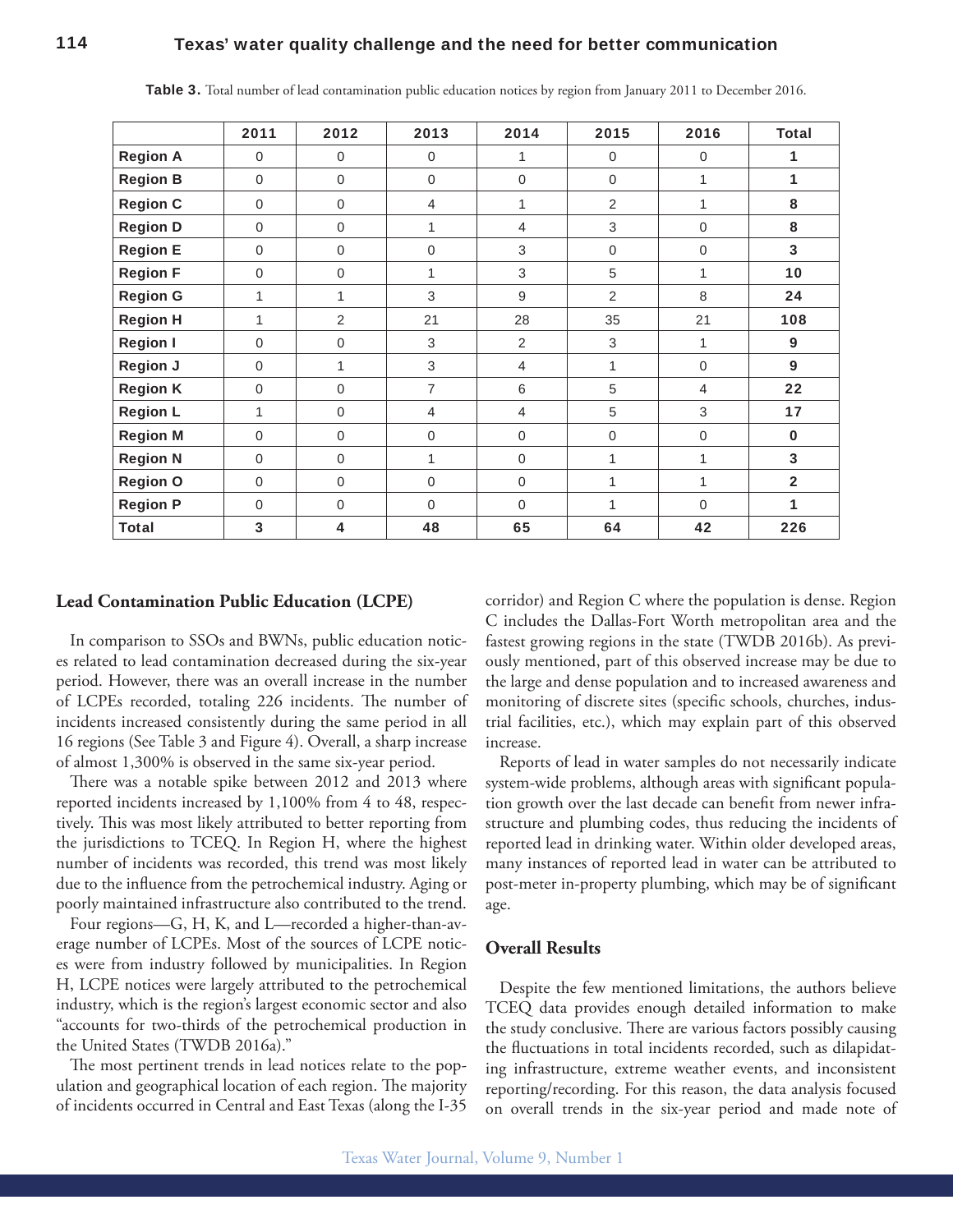# **114 Texas' water quality challenge and the need for better communication**

|                 | 2011        | 2012         | 2013           | 2014           | 2015        | 2016           | <b>Total</b>   |
|-----------------|-------------|--------------|----------------|----------------|-------------|----------------|----------------|
| <b>Region A</b> | $\mathbf 0$ | $\mathbf 0$  | $\mathbf 0$    | 1              | $\mathbf 0$ | $\overline{0}$ | 1              |
| <b>Region B</b> | $\mathbf 0$ | $\mathbf 0$  | $\mathbf 0$    | $\mathbf 0$    | $\mathbf 0$ | 1              | 1              |
| <b>Region C</b> | $\mathbf 0$ | $\mathbf 0$  | $\overline{4}$ | 1              | 2           | 1              | 8              |
| <b>Region D</b> | $\Omega$    | $\mathbf 0$  | 1              | 4              | 3           | $\Omega$       | 8              |
| <b>Region E</b> | $\Omega$    | $\mathbf{0}$ | $\mathbf 0$    | 3              | $\mathbf 0$ | $\Omega$       | 3              |
| <b>Region F</b> | $\Omega$    | $\mathbf 0$  | 1              | $\sqrt{3}$     | 5           | 1              | 10             |
| <b>Region G</b> | 1           | 1            | 3              | 9              | 2           | 8              | 24             |
| <b>Region H</b> | 1           | 2            | 21             | 28             | 35          | 21             | 108            |
| <b>Region I</b> | $\mathbf 0$ | $\mathbf 0$  | 3              | 2              | 3           | 1              | 9              |
| <b>Region J</b> | $\Omega$    | 1            | 3              | $\overline{4}$ | 1           | $\overline{0}$ | 9              |
| <b>Region K</b> | $\Omega$    | $\Omega$     | $\overline{7}$ | 6              | 5           | $\overline{4}$ | 22             |
| <b>Region L</b> | 1           | $\mathbf 0$  | $\overline{4}$ | $\overline{4}$ | 5           | 3              | 17             |
| <b>Region M</b> | $\Omega$    | $\mathbf 0$  | $\mathbf 0$    | $\mathbf 0$    | $\mathbf 0$ | $\mathbf 0$    | $\bf{0}$       |
| <b>Region N</b> | $\mathbf 0$ | $\mathbf 0$  |                | $\mathbf 0$    | 1           |                | 3              |
| <b>Region O</b> | $\mathbf 0$ | $\mathbf 0$  | $\mathbf 0$    | $\mathbf 0$    | 1           | 1              | $\overline{2}$ |
| <b>Region P</b> | $\Omega$    | $\mathbf 0$  | $\Omega$       | $\mathbf 0$    | 1           | $\Omega$       | 1              |
| <b>Total</b>    | 3           | 4            | 48             | 65             | 64          | 42             | 226            |

**Table 3.** Total number of lead contamination public education notices by region from January 2011 to December 2016.

#### **Lead Contamination Public Education (LCPE)**

In comparison to SSOs and BWNs, public education notices related to lead contamination decreased during the six-year period. However, there was an overall increase in the number of LCPEs recorded, totaling 226 incidents. The number of incidents increased consistently during the same period in all 16 regions (See Table 3 and Figure 4). Overall, a sharp increase of almost 1,300% is observed in the same six-year period.

here was a notable spike between 2012 and 2013 where reported incidents increased by 1,100% from 4 to 48, respectively. This was most likely attributed to better reporting from the jurisdictions to TCEQ. In Region H, where the highest number of incidents was recorded, this trend was most likely due to the inluence from the petrochemical industry. Aging or poorly maintained infrastructure also contributed to the trend.

Four regions—G, H, K, and L—recorded a higher-than-average number of LCPEs. Most of the sources of LCPE notices were from industry followed by municipalities. In Region H, LCPE notices were largely attributed to the petrochemical industry, which is the region's largest economic sector and also "accounts for two-thirds of the petrochemical production in the United States (TWDB 2016a)."

The most pertinent trends in lead notices relate to the population and geographical location of each region. The majority of incidents occurred in Central and East Texas (along the I-35 corridor) and Region C where the population is dense. Region C includes the Dallas-Fort Worth metropolitan area and the fastest growing regions in the state (TWDB 2016b). As previously mentioned, part of this observed increase may be due to the large and dense population and to increased awareness and monitoring of discrete sites (specific schools, churches, industrial facilities, etc.), which may explain part of this observed increase.

Reports of lead in water samples do not necessarily indicate system-wide problems, although areas with significant population growth over the last decade can benefit from newer infrastructure and plumbing codes, thus reducing the incidents of reported lead in drinking water. Within older developed areas, many instances of reported lead in water can be attributed to post-meter in-property plumbing, which may be of significant age.

# **Overall Results**

Despite the few mentioned limitations, the authors believe TCEQ data provides enough detailed information to make the study conclusive. There are various factors possibly causing the fluctuations in total incidents recorded, such as dilapidating infrastructure, extreme weather events, and inconsistent reporting/recording. For this reason, the data analysis focused on overall trends in the six-year period and made note of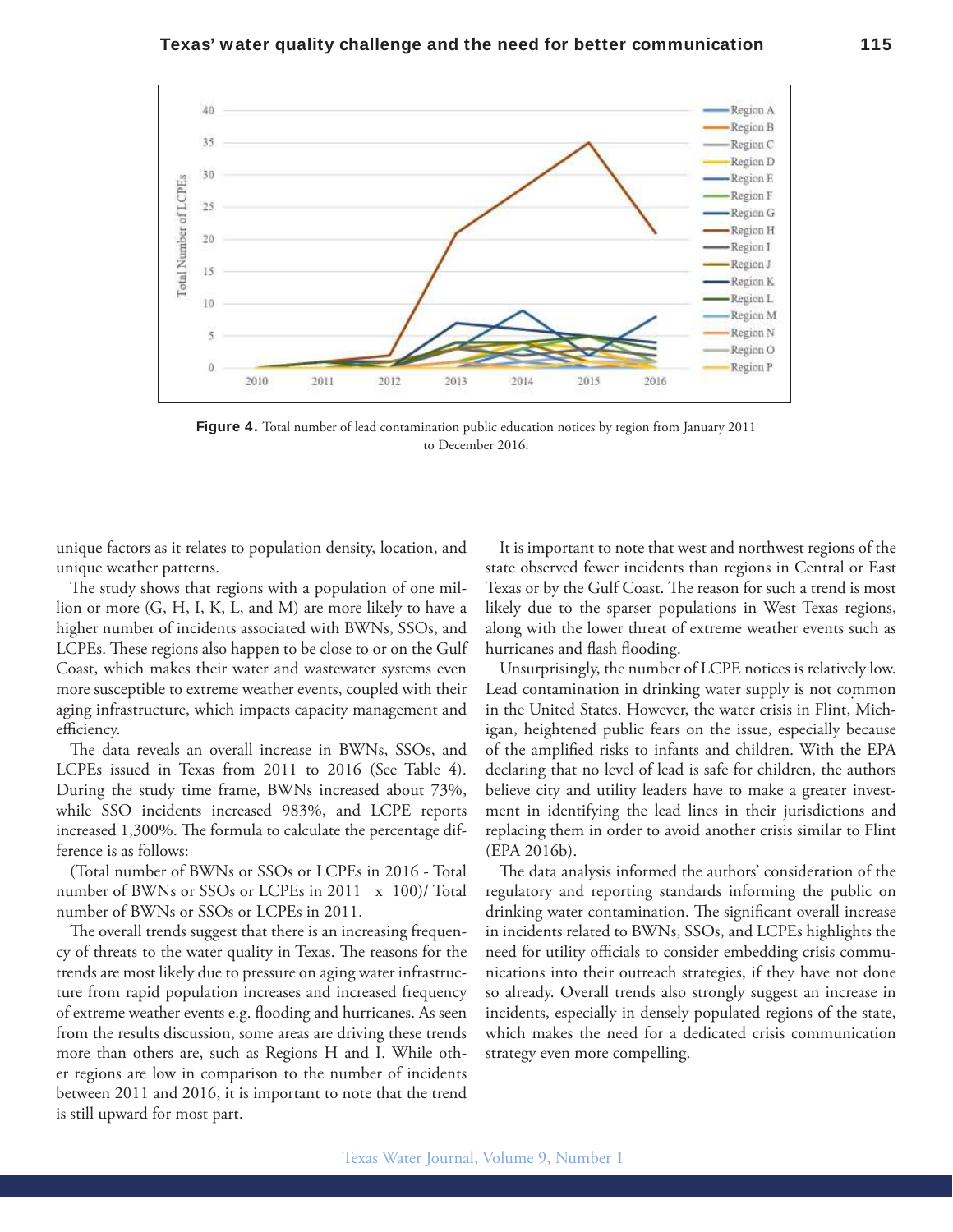

**Figure 4.** Total number of lead contamination public education notices by region from January 2011 to December 2016.

unique factors as it relates to population density, location, and unique weather patterns.

The study shows that regions with a population of one million or more (G, H, I, K, L, and M) are more likely to have a higher number of incidents associated with BWNs, SSOs, and LCPEs. These regions also happen to be close to or on the Gulf Coast, which makes their water and wastewater systems even more susceptible to extreme weather events, coupled with their aging infrastructure, which impacts capacity management and efficiency.

he data reveals an overall increase in BWNs, SSOs, and LCPEs issued in Texas from 2011 to 2016 (See Table 4). During the study time frame, BWNs increased about 73%, while SSO incidents increased 983%, and LCPE reports increased 1,300%. The formula to calculate the percentage difference is as follows:

(Total number of BWNs or SSOs or LCPEs in 2016 - Total number of BWNs or SSOs or LCPEs in 2011 x 100)/ Total number of BWNs or SSOs or LCPEs in 2011.

The overall trends suggest that there is an increasing frequency of threats to the water quality in Texas. The reasons for the trends are most likely due to pressure on aging water infrastructure from rapid population increases and increased frequency of extreme weather events e.g. flooding and hurricanes. As seen from the results discussion, some areas are driving these trends more than others are, such as Regions H and I. While other regions are low in comparison to the number of incidents between 2011 and 2016, it is important to note that the trend is still upward for most part.

It is important to note that west and northwest regions of the state observed fewer incidents than regions in Central or East Texas or by the Gulf Coast. The reason for such a trend is most likely due to the sparser populations in West Texas regions, along with the lower threat of extreme weather events such as hurricanes and flash flooding.

Unsurprisingly, the number of LCPE notices is relatively low. Lead contamination in drinking water supply is not common in the United States. However, the water crisis in Flint, Michigan, heightened public fears on the issue, especially because of the amplified risks to infants and children. With the EPA declaring that no level of lead is safe for children, the authors believe city and utility leaders have to make a greater investment in identifying the lead lines in their jurisdictions and replacing them in order to avoid another crisis similar to Flint (EPA 2016b).

The data analysis informed the authors' consideration of the regulatory and reporting standards informing the public on drinking water contamination. The significant overall increase in incidents related to BWNs, SSOs, and LCPEs highlights the need for utility officials to consider embedding crisis communications into their outreach strategies, if they have not done so already. Overall trends also strongly suggest an increase in incidents, especially in densely populated regions of the state, which makes the need for a dedicated crisis communication strategy even more compelling.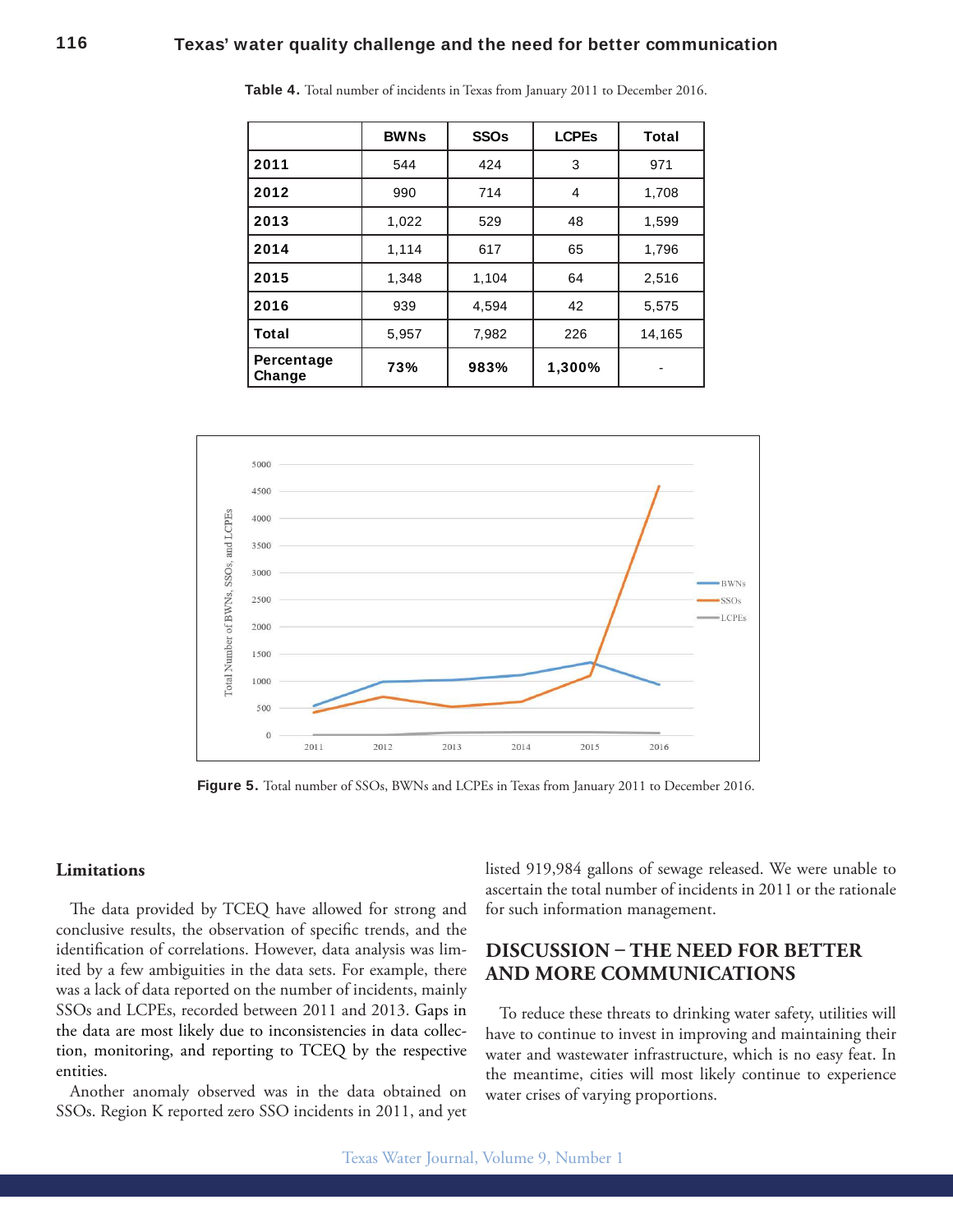|                      | <b>BWNs</b> | <b>SSO<sub>s</sub></b> | <b>LCPEs</b> | Total  |
|----------------------|-------------|------------------------|--------------|--------|
| 2011                 | 544         | 424                    | 3            | 971    |
| 2012                 | 990         | 714                    | 4            | 1,708  |
| 2013                 | 1,022       | 529                    | 48           | 1,599  |
| 2014                 | 1,114       | 617                    | 65           | 1,796  |
| 2015                 | 1,348       | 1,104                  | 64           | 2,516  |
| 2016                 | 939         | 4,594                  | 42           | 5,575  |
| Total                | 5,957       | 7,982                  | 226          | 14,165 |
| Percentage<br>Change | 73%         | 983%                   | 1,300%       |        |

**Table 4.** Total number of incidents in Texas from January 2011 to December 2016.



**Figure 5.** Total number of SSOs, BWNs and LCPEs in Texas from January 2011 to December 2016.

#### **Limitations**

The data provided by TCEQ have allowed for strong and conclusive results, the observation of specific trends, and the identification of correlations. However, data analysis was limited by a few ambiguities in the data sets. For example, there was a lack of data reported on the number of incidents, mainly SSOs and LCPEs, recorded between 2011 and 2013. Gaps in the data are most likely due to inconsistencies in data collection, monitoring, and reporting to TCEQ by the respective entities.

Another anomaly observed was in the data obtained on SSOs. Region K reported zero SSO incidents in 2011, and yet listed 919,984 gallons of sewage released. We were unable to ascertain the total number of incidents in 2011 or the rationale for such information management.

# **DISCUSSION – THE NEED FOR BETTER AND MORE COMMUNICATIONS**

To reduce these threats to drinking water safety, utilities will have to continue to invest in improving and maintaining their water and wastewater infrastructure, which is no easy feat. In the meantime, cities will most likely continue to experience water crises of varying proportions.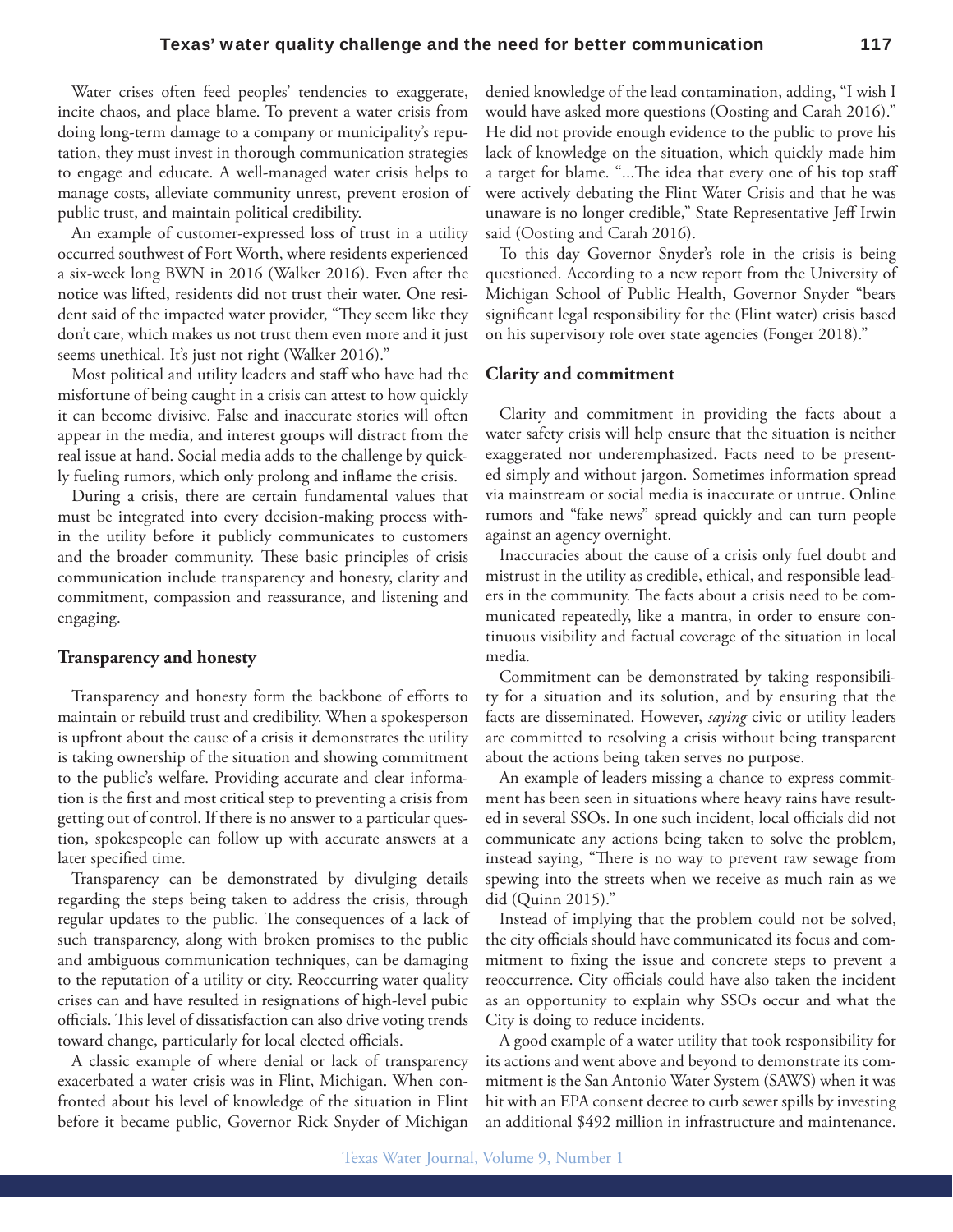Water crises often feed peoples' tendencies to exaggerate, incite chaos, and place blame. To prevent a water crisis from doing long-term damage to a company or municipality's reputation, they must invest in thorough communication strategies to engage and educate. A well-managed water crisis helps to manage costs, alleviate community unrest, prevent erosion of public trust, and maintain political credibility.

An example of customer-expressed loss of trust in a utility occurred southwest of Fort Worth, where residents experienced a six-week long BWN in 2016 (Walker 2016). Even after the notice was lifted, residents did not trust their water. One resident said of the impacted water provider, "hey seem like they don't care, which makes us not trust them even more and it just seems unethical. It's just not right (Walker 2016)."

Most political and utility leaders and staf who have had the misfortune of being caught in a crisis can attest to how quickly it can become divisive. False and inaccurate stories will often appear in the media, and interest groups will distract from the real issue at hand. Social media adds to the challenge by quickly fueling rumors, which only prolong and inlame the crisis.

During a crisis, there are certain fundamental values that must be integrated into every decision-making process within the utility before it publicly communicates to customers and the broader community. These basic principles of crisis communication include transparency and honesty, clarity and commitment, compassion and reassurance, and listening and engaging.

#### **Transparency and honesty**

Transparency and honesty form the backbone of eforts to maintain or rebuild trust and credibility. When a spokesperson is upfront about the cause of a crisis it demonstrates the utility is taking ownership of the situation and showing commitment to the public's welfare. Providing accurate and clear information is the first and most critical step to preventing a crisis from getting out of control. If there is no answer to a particular question, spokespeople can follow up with accurate answers at a later specified time.

Transparency can be demonstrated by divulging details regarding the steps being taken to address the crisis, through regular updates to the public. The consequences of a lack of such transparency, along with broken promises to the public and ambiguous communication techniques, can be damaging to the reputation of a utility or city. Reoccurring water quality crises can and have resulted in resignations of high-level pubic officials. This level of dissatisfaction can also drive voting trends toward change, particularly for local elected officials.

A classic example of where denial or lack of transparency exacerbated a water crisis was in Flint, Michigan. When confronted about his level of knowledge of the situation in Flint before it became public, Governor Rick Snyder of Michigan

denied knowledge of the lead contamination, adding, "I wish I would have asked more questions (Oosting and Carah 2016)." He did not provide enough evidence to the public to prove his lack of knowledge on the situation, which quickly made him a target for blame. "...The idea that every one of his top staff were actively debating the Flint Water Crisis and that he was unaware is no longer credible," State Representative Jeff Irwin said (Oosting and Carah 2016).

To this day Governor Snyder's role in the crisis is being questioned. According to a new report from the University of Michigan School of Public Health, Governor Snyder "bears significant legal responsibility for the (Flint water) crisis based on his supervisory role over state agencies (Fonger 2018)."

#### **Clarity and commitment**

Clarity and commitment in providing the facts about a water safety crisis will help ensure that the situation is neither exaggerated nor underemphasized. Facts need to be presented simply and without jargon. Sometimes information spread via mainstream or social media is inaccurate or untrue. Online rumors and "fake news" spread quickly and can turn people against an agency overnight.

Inaccuracies about the cause of a crisis only fuel doubt and mistrust in the utility as credible, ethical, and responsible leaders in the community. The facts about a crisis need to be communicated repeatedly, like a mantra, in order to ensure continuous visibility and factual coverage of the situation in local media.

Commitment can be demonstrated by taking responsibility for a situation and its solution, and by ensuring that the facts are disseminated. However, *saying* civic or utility leaders are committed to resolving a crisis without being transparent about the actions being taken serves no purpose.

An example of leaders missing a chance to express commitment has been seen in situations where heavy rains have resulted in several SSOs. In one such incident, local officials did not communicate any actions being taken to solve the problem, instead saying, "here is no way to prevent raw sewage from spewing into the streets when we receive as much rain as we did (Quinn 2015)."

Instead of implying that the problem could not be solved, the city officials should have communicated its focus and commitment to fixing the issue and concrete steps to prevent a reoccurrence. City officials could have also taken the incident as an opportunity to explain why SSOs occur and what the City is doing to reduce incidents.

A good example of a water utility that took responsibility for its actions and went above and beyond to demonstrate its commitment is the San Antonio Water System (SAWS) when it was hit with an EPA consent decree to curb sewer spills by investing an additional \$492 million in infrastructure and maintenance.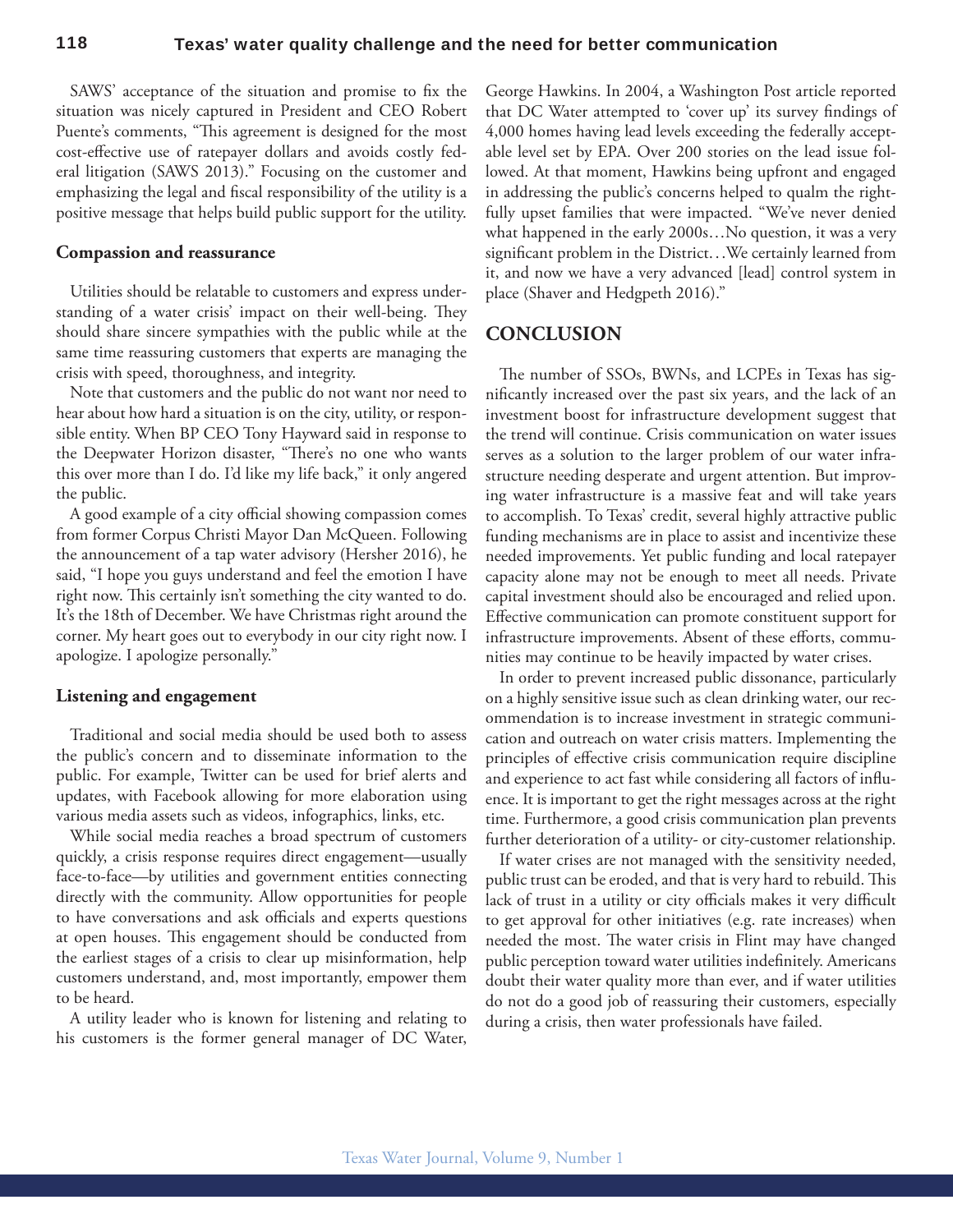SAWS' acceptance of the situation and promise to fix the situation was nicely captured in President and CEO Robert Puente's comments, "This agreement is designed for the most cost-efective use of ratepayer dollars and avoids costly federal litigation (SAWS 2013)." Focusing on the customer and emphasizing the legal and fiscal responsibility of the utility is a positive message that helps build public support for the utility.

#### **Compassion and reassurance**

Utilities should be relatable to customers and express understanding of a water crisis' impact on their well-being. They should share sincere sympathies with the public while at the same time reassuring customers that experts are managing the crisis with speed, thoroughness, and integrity.

Note that customers and the public do not want nor need to hear about how hard a situation is on the city, utility, or responsible entity. When BP CEO Tony Hayward said in response to the Deepwater Horizon disaster, "There's no one who wants this over more than I do. I'd like my life back," it only angered the public.

A good example of a city official showing compassion comes from former Corpus Christi Mayor Dan McQueen. Following the announcement of a tap water advisory (Hersher 2016), he said, "I hope you guys understand and feel the emotion I have right now. This certainly isn't something the city wanted to do. It's the 18th of December. We have Christmas right around the corner. My heart goes out to everybody in our city right now. I apologize. I apologize personally."

#### **Listening and engagement**

Traditional and social media should be used both to assess the public's concern and to disseminate information to the public. For example, Twitter can be used for brief alerts and updates, with Facebook allowing for more elaboration using various media assets such as videos, infographics, links, etc.

While social media reaches a broad spectrum of customers quickly, a crisis response requires direct engagement—usually face-to-face—by utilities and government entities connecting directly with the community. Allow opportunities for people to have conversations and ask officials and experts questions at open houses. This engagement should be conducted from the earliest stages of a crisis to clear up misinformation, help customers understand, and, most importantly, empower them to be heard.

A utility leader who is known for listening and relating to his customers is the former general manager of DC Water, George Hawkins. In 2004, a Washington Post article reported that DC Water attempted to 'cover up' its survey findings of 4,000 homes having lead levels exceeding the federally acceptable level set by EPA. Over 200 stories on the lead issue followed. At that moment, Hawkins being upfront and engaged in addressing the public's concerns helped to qualm the rightfully upset families that were impacted. "We've never denied what happened in the early 2000s…No question, it was a very significant problem in the District...We certainly learned from it, and now we have a very advanced [lead] control system in place (Shaver and Hedgpeth 2016)."

# **CONCLUSION**

he number of SSOs, BWNs, and LCPEs in Texas has significantly increased over the past six years, and the lack of an investment boost for infrastructure development suggest that the trend will continue. Crisis communication on water issues serves as a solution to the larger problem of our water infrastructure needing desperate and urgent attention. But improving water infrastructure is a massive feat and will take years to accomplish. To Texas' credit, several highly attractive public funding mechanisms are in place to assist and incentivize these needed improvements. Yet public funding and local ratepayer capacity alone may not be enough to meet all needs. Private capital investment should also be encouraged and relied upon. Efective communication can promote constituent support for infrastructure improvements. Absent of these efforts, communities may continue to be heavily impacted by water crises.

In order to prevent increased public dissonance, particularly on a highly sensitive issue such as clean drinking water, our recommendation is to increase investment in strategic communication and outreach on water crisis matters. Implementing the principles of efective crisis communication require discipline and experience to act fast while considering all factors of inluence. It is important to get the right messages across at the right time. Furthermore, a good crisis communication plan prevents further deterioration of a utility- or city-customer relationship.

If water crises are not managed with the sensitivity needed, public trust can be eroded, and that is very hard to rebuild. This lack of trust in a utility or city officials makes it very difficult to get approval for other initiatives (e.g. rate increases) when needed the most. The water crisis in Flint may have changed public perception toward water utilities indefinitely. Americans doubt their water quality more than ever, and if water utilities do not do a good job of reassuring their customers, especially during a crisis, then water professionals have failed.